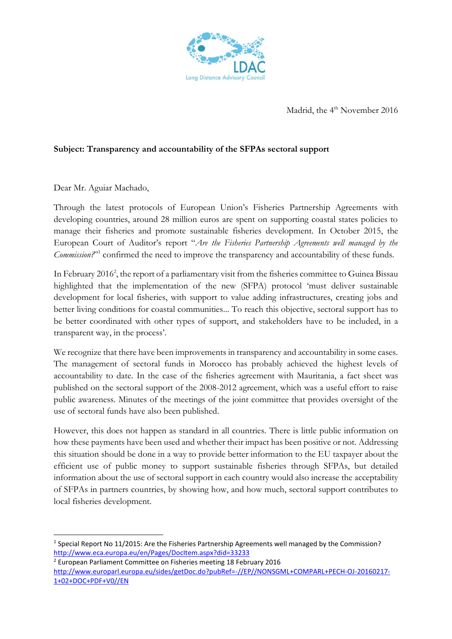

Madrid, the 4<sup>th</sup> November 2016

## **Subject: Transparency and accountability of the SFPAs sectoral support**

Dear Mr. Aguiar Machado,

**.** 

Through the latest protocols of European Union's Fisheries Partnership Agreements with developing countries, around 28 million euros are spent on supporting coastal states policies to manage their fisheries and promote sustainable fisheries development. In October 2015, the European Court of Auditor's report "*Are the Fisheries Partnership Agreements well managed by the*  Commission?"<sup>1</sup> confirmed the need to improve the transparency and accountability of these funds.

In February 2016<sup>2</sup>, the report of a parliamentary visit from the fisheries committee to Guinea Bissau highlighted that the implementation of the new (SFPA) protocol 'must deliver sustainable development for local fisheries, with support to value adding infrastructures, creating jobs and better living conditions for coastal communities... To reach this objective, sectoral support has to be better coordinated with other types of support, and stakeholders have to be included, in a transparent way, in the process'.

We recognize that there have been improvements in transparency and accountability in some cases. The management of sectoral funds in Morocco has probably achieved the highest levels of accountability to date. In the case of the fisheries agreement with Mauritania, a fact sheet was published on the sectoral support of the 2008-2012 agreement, which was a useful effort to raise public awareness. Minutes of the meetings of the joint committee that provides oversight of the use of sectoral funds have also been published.

However, this does not happen as standard in all countries. There is little public information on how these payments have been used and whether their impact has been positive or not. Addressing this situation should be done in a way to provide better information to the EU taxpayer about the efficient use of public money to support sustainable fisheries through SFPAs, but detailed information about the use of sectoral support in each country would also increase the acceptability of SFPAs in partners countries, by showing how, and how much, sectoral support contributes to local fisheries development.

 $<sup>1</sup>$  Special Report No 11/2015: Are the Fisheries Partnership Agreements well managed by the Commission?</sup> <http://www.eca.europa.eu/en/Pages/DocItem.aspx?did=33233>

<sup>2</sup> European Parliament Committee on Fisheries meeting 18 February 2016 [http://www.europarl.europa.eu/sides/getDoc.do?pubRef=-//EP//NONSGML+COMPARL+PECH-OJ-20160217-](http://www.europarl.europa.eu/sides/getDoc.do?pubRef=-//EP//NONSGML+COMPARL+PECH-OJ-20160217-1+02+DOC+PDF+V0//EN) [1+02+DOC+PDF+V0//EN](http://www.europarl.europa.eu/sides/getDoc.do?pubRef=-//EP//NONSGML+COMPARL+PECH-OJ-20160217-1+02+DOC+PDF+V0//EN)